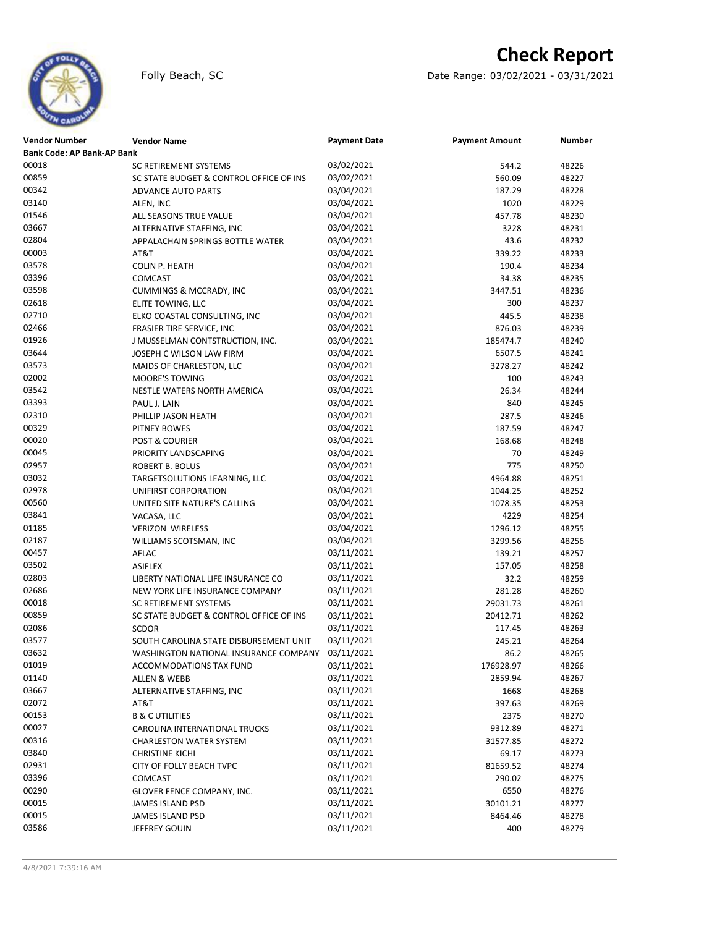## **Check Report**





| <b>Bank Code: AP Bank-AP Bank</b><br>00018<br>03/02/2021<br>48226<br><b>SC RETIREMENT SYSTEMS</b><br>544.2<br>00859<br>03/02/2021<br>560.09<br>48227<br>SC STATE BUDGET & CONTROL OFFICE OF INS<br>00342<br>03/04/2021<br>48228<br><b>ADVANCE AUTO PARTS</b><br>187.29<br>03140<br>03/04/2021<br>48229<br>1020<br>ALEN, INC<br>01546<br>03/04/2021<br>457.78<br>48230<br>ALL SEASONS TRUE VALUE<br>03667<br>03/04/2021<br>3228<br>48231<br>ALTERNATIVE STAFFING, INC<br>02804<br>03/04/2021<br>APPALACHAIN SPRINGS BOTTLE WATER<br>43.6<br>48232<br>00003<br>03/04/2021<br>339.22<br>48233<br>AT&T<br>03578<br>03/04/2021<br><b>COLIN P. HEATH</b><br>190.4<br>48234<br>03396<br>03/04/2021<br>34.38<br>48235<br><b>COMCAST</b><br>03598<br>03/04/2021<br>3447.51<br>48236<br><b>CUMMINGS &amp; MCCRADY, INC</b><br>02618<br>03/04/2021<br>48237<br>300<br>ELITE TOWING, LLC<br>02710<br>03/04/2021<br>ELKO COASTAL CONSULTING, INC<br>445.5<br>48238<br>02466<br>03/04/2021<br>876.03<br>48239<br><b>FRASIER TIRE SERVICE, INC</b><br>01926<br>03/04/2021<br>185474.7<br>48240<br>J MUSSELMAN CONTSTRUCTION, INC.<br>03644<br>03/04/2021<br>6507.5<br>48241<br>JOSEPH C WILSON LAW FIRM<br>03573<br>03/04/2021<br>3278.27<br>48242<br>MAIDS OF CHARLESTON, LLC<br>02002<br>03/04/2021<br>100<br>48243<br><b>MOORE'S TOWING</b><br>03542<br>03/04/2021<br>NESTLE WATERS NORTH AMERICA<br>26.34<br>48244<br>03393<br>03/04/2021<br>840<br>48245<br>PAUL J. LAIN<br>02310<br>03/04/2021<br>PHILLIP JASON HEATH<br>287.5<br>48246<br>00329<br>03/04/2021<br>187.59<br>PITNEY BOWES<br>48247<br>00020<br>03/04/2021<br>168.68<br><b>POST &amp; COURIER</b><br>48248<br>00045<br>03/04/2021<br>70<br>48249<br>PRIORITY LANDSCAPING<br>02957<br>03/04/2021<br>ROBERT B. BOLUS<br>775<br>48250<br>03032<br>03/04/2021<br>4964.88<br>48251<br>TARGETSOLUTIONS LEARNING, LLC<br>02978<br>03/04/2021<br>UNIFIRST CORPORATION<br>48252<br>1044.25<br>00560<br>03/04/2021<br>48253<br>UNITED SITE NATURE'S CALLING<br>1078.35<br>03841<br>03/04/2021<br>4229<br>48254<br>VACASA, LLC<br>01185<br>03/04/2021<br>48255<br><b>VERIZON WIRELESS</b><br>1296.12<br>02187<br>03/04/2021<br>3299.56<br>48256<br>WILLIAMS SCOTSMAN, INC<br>00457<br>03/11/2021<br>AFLAC<br>48257<br>139.21<br>03502<br>03/11/2021<br><b>ASIFLEX</b><br>157.05<br>48258<br>02803<br>03/11/2021<br>32.2<br>48259<br>LIBERTY NATIONAL LIFE INSURANCE CO<br>02686<br>03/11/2021<br>48260<br>281.28<br>NEW YORK LIFE INSURANCE COMPANY<br>00018<br>03/11/2021<br>29031.73<br>48261<br>SC RETIREMENT SYSTEMS<br>00859<br>03/11/2021<br>48262<br>SC STATE BUDGET & CONTROL OFFICE OF INS<br>20412.71<br>02086<br>03/11/2021<br><b>SCDOR</b><br>117.45<br>48263<br>03577<br>03/11/2021<br>245.21<br>48264<br>SOUTH CAROLINA STATE DISBURSEMENT UNIT<br>03632<br>03/11/2021<br>86.2<br>WASHINGTON NATIONAL INSURANCE COMPANY<br>48265<br>03/11/2021<br>01019<br>176928.97<br>48266<br>ACCOMMODATIONS TAX FUND<br>01140<br>03/11/2021<br>2859.94<br>48267<br>ALLEN & WEBB<br>03667<br>03/11/2021<br>48268<br>1668<br>ALTERNATIVE STAFFING, INC<br>02072<br>03/11/2021<br>AT&T<br>397.63<br>48269<br>03/11/2021<br>00153<br>2375<br>48270<br><b>B &amp; C UTILITIES</b><br>00027<br>03/11/2021<br>48271<br>CAROLINA INTERNATIONAL TRUCKS<br>9312.89<br>00316<br>03/11/2021<br>48272<br>31577.85<br><b>CHARLESTON WATER SYSTEM</b><br>03840<br>03/11/2021<br><b>CHRISTINE KICHI</b><br>69.17<br>48273<br>02931<br>03/11/2021<br>81659.52<br>48274<br>CITY OF FOLLY BEACH TVPC<br>03396<br>03/11/2021<br>COMCAST<br>290.02<br>48275<br>00290<br>03/11/2021<br>6550<br>48276<br>GLOVER FENCE COMPANY, INC.<br>00015<br>03/11/2021<br>48277<br>JAMES ISLAND PSD<br>30101.21<br>03/11/2021<br>00015<br>8464.46<br>48278<br>JAMES ISLAND PSD<br>03586<br>03/11/2021<br>48279<br>JEFFREY GOUIN<br>400 | <b>Vendor Number</b> | <b>Vendor Name</b> | <b>Payment Date</b> | <b>Payment Amount</b> | Number |  |  |  |  |
|-------------------------------------------------------------------------------------------------------------------------------------------------------------------------------------------------------------------------------------------------------------------------------------------------------------------------------------------------------------------------------------------------------------------------------------------------------------------------------------------------------------------------------------------------------------------------------------------------------------------------------------------------------------------------------------------------------------------------------------------------------------------------------------------------------------------------------------------------------------------------------------------------------------------------------------------------------------------------------------------------------------------------------------------------------------------------------------------------------------------------------------------------------------------------------------------------------------------------------------------------------------------------------------------------------------------------------------------------------------------------------------------------------------------------------------------------------------------------------------------------------------------------------------------------------------------------------------------------------------------------------------------------------------------------------------------------------------------------------------------------------------------------------------------------------------------------------------------------------------------------------------------------------------------------------------------------------------------------------------------------------------------------------------------------------------------------------------------------------------------------------------------------------------------------------------------------------------------------------------------------------------------------------------------------------------------------------------------------------------------------------------------------------------------------------------------------------------------------------------------------------------------------------------------------------------------------------------------------------------------------------------------------------------------------------------------------------------------------------------------------------------------------------------------------------------------------------------------------------------------------------------------------------------------------------------------------------------------------------------------------------------------------------------------------------------------------------------------------------------------------------------------------------------------------------------------------------------------------------------------------------------------------------------------------------------------------------------------------------------------------------------------------------------------------------------------------------------------------------------------------------------------------------------------------------------------------------------------------------------------------------------------------------------------------------------------------------------------------------------------------------------------------------------------------------------------------------------------------|----------------------|--------------------|---------------------|-----------------------|--------|--|--|--|--|
|                                                                                                                                                                                                                                                                                                                                                                                                                                                                                                                                                                                                                                                                                                                                                                                                                                                                                                                                                                                                                                                                                                                                                                                                                                                                                                                                                                                                                                                                                                                                                                                                                                                                                                                                                                                                                                                                                                                                                                                                                                                                                                                                                                                                                                                                                                                                                                                                                                                                                                                                                                                                                                                                                                                                                                                                                                                                                                                                                                                                                                                                                                                                                                                                                                                                                                                                                                                                                                                                                                                                                                                                                                                                                                                                                                                                                                                 |                      |                    |                     |                       |        |  |  |  |  |
|                                                                                                                                                                                                                                                                                                                                                                                                                                                                                                                                                                                                                                                                                                                                                                                                                                                                                                                                                                                                                                                                                                                                                                                                                                                                                                                                                                                                                                                                                                                                                                                                                                                                                                                                                                                                                                                                                                                                                                                                                                                                                                                                                                                                                                                                                                                                                                                                                                                                                                                                                                                                                                                                                                                                                                                                                                                                                                                                                                                                                                                                                                                                                                                                                                                                                                                                                                                                                                                                                                                                                                                                                                                                                                                                                                                                                                                 |                      |                    |                     |                       |        |  |  |  |  |
|                                                                                                                                                                                                                                                                                                                                                                                                                                                                                                                                                                                                                                                                                                                                                                                                                                                                                                                                                                                                                                                                                                                                                                                                                                                                                                                                                                                                                                                                                                                                                                                                                                                                                                                                                                                                                                                                                                                                                                                                                                                                                                                                                                                                                                                                                                                                                                                                                                                                                                                                                                                                                                                                                                                                                                                                                                                                                                                                                                                                                                                                                                                                                                                                                                                                                                                                                                                                                                                                                                                                                                                                                                                                                                                                                                                                                                                 |                      |                    |                     |                       |        |  |  |  |  |
|                                                                                                                                                                                                                                                                                                                                                                                                                                                                                                                                                                                                                                                                                                                                                                                                                                                                                                                                                                                                                                                                                                                                                                                                                                                                                                                                                                                                                                                                                                                                                                                                                                                                                                                                                                                                                                                                                                                                                                                                                                                                                                                                                                                                                                                                                                                                                                                                                                                                                                                                                                                                                                                                                                                                                                                                                                                                                                                                                                                                                                                                                                                                                                                                                                                                                                                                                                                                                                                                                                                                                                                                                                                                                                                                                                                                                                                 |                      |                    |                     |                       |        |  |  |  |  |
|                                                                                                                                                                                                                                                                                                                                                                                                                                                                                                                                                                                                                                                                                                                                                                                                                                                                                                                                                                                                                                                                                                                                                                                                                                                                                                                                                                                                                                                                                                                                                                                                                                                                                                                                                                                                                                                                                                                                                                                                                                                                                                                                                                                                                                                                                                                                                                                                                                                                                                                                                                                                                                                                                                                                                                                                                                                                                                                                                                                                                                                                                                                                                                                                                                                                                                                                                                                                                                                                                                                                                                                                                                                                                                                                                                                                                                                 |                      |                    |                     |                       |        |  |  |  |  |
|                                                                                                                                                                                                                                                                                                                                                                                                                                                                                                                                                                                                                                                                                                                                                                                                                                                                                                                                                                                                                                                                                                                                                                                                                                                                                                                                                                                                                                                                                                                                                                                                                                                                                                                                                                                                                                                                                                                                                                                                                                                                                                                                                                                                                                                                                                                                                                                                                                                                                                                                                                                                                                                                                                                                                                                                                                                                                                                                                                                                                                                                                                                                                                                                                                                                                                                                                                                                                                                                                                                                                                                                                                                                                                                                                                                                                                                 |                      |                    |                     |                       |        |  |  |  |  |
|                                                                                                                                                                                                                                                                                                                                                                                                                                                                                                                                                                                                                                                                                                                                                                                                                                                                                                                                                                                                                                                                                                                                                                                                                                                                                                                                                                                                                                                                                                                                                                                                                                                                                                                                                                                                                                                                                                                                                                                                                                                                                                                                                                                                                                                                                                                                                                                                                                                                                                                                                                                                                                                                                                                                                                                                                                                                                                                                                                                                                                                                                                                                                                                                                                                                                                                                                                                                                                                                                                                                                                                                                                                                                                                                                                                                                                                 |                      |                    |                     |                       |        |  |  |  |  |
|                                                                                                                                                                                                                                                                                                                                                                                                                                                                                                                                                                                                                                                                                                                                                                                                                                                                                                                                                                                                                                                                                                                                                                                                                                                                                                                                                                                                                                                                                                                                                                                                                                                                                                                                                                                                                                                                                                                                                                                                                                                                                                                                                                                                                                                                                                                                                                                                                                                                                                                                                                                                                                                                                                                                                                                                                                                                                                                                                                                                                                                                                                                                                                                                                                                                                                                                                                                                                                                                                                                                                                                                                                                                                                                                                                                                                                                 |                      |                    |                     |                       |        |  |  |  |  |
|                                                                                                                                                                                                                                                                                                                                                                                                                                                                                                                                                                                                                                                                                                                                                                                                                                                                                                                                                                                                                                                                                                                                                                                                                                                                                                                                                                                                                                                                                                                                                                                                                                                                                                                                                                                                                                                                                                                                                                                                                                                                                                                                                                                                                                                                                                                                                                                                                                                                                                                                                                                                                                                                                                                                                                                                                                                                                                                                                                                                                                                                                                                                                                                                                                                                                                                                                                                                                                                                                                                                                                                                                                                                                                                                                                                                                                                 |                      |                    |                     |                       |        |  |  |  |  |
|                                                                                                                                                                                                                                                                                                                                                                                                                                                                                                                                                                                                                                                                                                                                                                                                                                                                                                                                                                                                                                                                                                                                                                                                                                                                                                                                                                                                                                                                                                                                                                                                                                                                                                                                                                                                                                                                                                                                                                                                                                                                                                                                                                                                                                                                                                                                                                                                                                                                                                                                                                                                                                                                                                                                                                                                                                                                                                                                                                                                                                                                                                                                                                                                                                                                                                                                                                                                                                                                                                                                                                                                                                                                                                                                                                                                                                                 |                      |                    |                     |                       |        |  |  |  |  |
|                                                                                                                                                                                                                                                                                                                                                                                                                                                                                                                                                                                                                                                                                                                                                                                                                                                                                                                                                                                                                                                                                                                                                                                                                                                                                                                                                                                                                                                                                                                                                                                                                                                                                                                                                                                                                                                                                                                                                                                                                                                                                                                                                                                                                                                                                                                                                                                                                                                                                                                                                                                                                                                                                                                                                                                                                                                                                                                                                                                                                                                                                                                                                                                                                                                                                                                                                                                                                                                                                                                                                                                                                                                                                                                                                                                                                                                 |                      |                    |                     |                       |        |  |  |  |  |
|                                                                                                                                                                                                                                                                                                                                                                                                                                                                                                                                                                                                                                                                                                                                                                                                                                                                                                                                                                                                                                                                                                                                                                                                                                                                                                                                                                                                                                                                                                                                                                                                                                                                                                                                                                                                                                                                                                                                                                                                                                                                                                                                                                                                                                                                                                                                                                                                                                                                                                                                                                                                                                                                                                                                                                                                                                                                                                                                                                                                                                                                                                                                                                                                                                                                                                                                                                                                                                                                                                                                                                                                                                                                                                                                                                                                                                                 |                      |                    |                     |                       |        |  |  |  |  |
|                                                                                                                                                                                                                                                                                                                                                                                                                                                                                                                                                                                                                                                                                                                                                                                                                                                                                                                                                                                                                                                                                                                                                                                                                                                                                                                                                                                                                                                                                                                                                                                                                                                                                                                                                                                                                                                                                                                                                                                                                                                                                                                                                                                                                                                                                                                                                                                                                                                                                                                                                                                                                                                                                                                                                                                                                                                                                                                                                                                                                                                                                                                                                                                                                                                                                                                                                                                                                                                                                                                                                                                                                                                                                                                                                                                                                                                 |                      |                    |                     |                       |        |  |  |  |  |
|                                                                                                                                                                                                                                                                                                                                                                                                                                                                                                                                                                                                                                                                                                                                                                                                                                                                                                                                                                                                                                                                                                                                                                                                                                                                                                                                                                                                                                                                                                                                                                                                                                                                                                                                                                                                                                                                                                                                                                                                                                                                                                                                                                                                                                                                                                                                                                                                                                                                                                                                                                                                                                                                                                                                                                                                                                                                                                                                                                                                                                                                                                                                                                                                                                                                                                                                                                                                                                                                                                                                                                                                                                                                                                                                                                                                                                                 |                      |                    |                     |                       |        |  |  |  |  |
|                                                                                                                                                                                                                                                                                                                                                                                                                                                                                                                                                                                                                                                                                                                                                                                                                                                                                                                                                                                                                                                                                                                                                                                                                                                                                                                                                                                                                                                                                                                                                                                                                                                                                                                                                                                                                                                                                                                                                                                                                                                                                                                                                                                                                                                                                                                                                                                                                                                                                                                                                                                                                                                                                                                                                                                                                                                                                                                                                                                                                                                                                                                                                                                                                                                                                                                                                                                                                                                                                                                                                                                                                                                                                                                                                                                                                                                 |                      |                    |                     |                       |        |  |  |  |  |
|                                                                                                                                                                                                                                                                                                                                                                                                                                                                                                                                                                                                                                                                                                                                                                                                                                                                                                                                                                                                                                                                                                                                                                                                                                                                                                                                                                                                                                                                                                                                                                                                                                                                                                                                                                                                                                                                                                                                                                                                                                                                                                                                                                                                                                                                                                                                                                                                                                                                                                                                                                                                                                                                                                                                                                                                                                                                                                                                                                                                                                                                                                                                                                                                                                                                                                                                                                                                                                                                                                                                                                                                                                                                                                                                                                                                                                                 |                      |                    |                     |                       |        |  |  |  |  |
|                                                                                                                                                                                                                                                                                                                                                                                                                                                                                                                                                                                                                                                                                                                                                                                                                                                                                                                                                                                                                                                                                                                                                                                                                                                                                                                                                                                                                                                                                                                                                                                                                                                                                                                                                                                                                                                                                                                                                                                                                                                                                                                                                                                                                                                                                                                                                                                                                                                                                                                                                                                                                                                                                                                                                                                                                                                                                                                                                                                                                                                                                                                                                                                                                                                                                                                                                                                                                                                                                                                                                                                                                                                                                                                                                                                                                                                 |                      |                    |                     |                       |        |  |  |  |  |
|                                                                                                                                                                                                                                                                                                                                                                                                                                                                                                                                                                                                                                                                                                                                                                                                                                                                                                                                                                                                                                                                                                                                                                                                                                                                                                                                                                                                                                                                                                                                                                                                                                                                                                                                                                                                                                                                                                                                                                                                                                                                                                                                                                                                                                                                                                                                                                                                                                                                                                                                                                                                                                                                                                                                                                                                                                                                                                                                                                                                                                                                                                                                                                                                                                                                                                                                                                                                                                                                                                                                                                                                                                                                                                                                                                                                                                                 |                      |                    |                     |                       |        |  |  |  |  |
|                                                                                                                                                                                                                                                                                                                                                                                                                                                                                                                                                                                                                                                                                                                                                                                                                                                                                                                                                                                                                                                                                                                                                                                                                                                                                                                                                                                                                                                                                                                                                                                                                                                                                                                                                                                                                                                                                                                                                                                                                                                                                                                                                                                                                                                                                                                                                                                                                                                                                                                                                                                                                                                                                                                                                                                                                                                                                                                                                                                                                                                                                                                                                                                                                                                                                                                                                                                                                                                                                                                                                                                                                                                                                                                                                                                                                                                 |                      |                    |                     |                       |        |  |  |  |  |
|                                                                                                                                                                                                                                                                                                                                                                                                                                                                                                                                                                                                                                                                                                                                                                                                                                                                                                                                                                                                                                                                                                                                                                                                                                                                                                                                                                                                                                                                                                                                                                                                                                                                                                                                                                                                                                                                                                                                                                                                                                                                                                                                                                                                                                                                                                                                                                                                                                                                                                                                                                                                                                                                                                                                                                                                                                                                                                                                                                                                                                                                                                                                                                                                                                                                                                                                                                                                                                                                                                                                                                                                                                                                                                                                                                                                                                                 |                      |                    |                     |                       |        |  |  |  |  |
|                                                                                                                                                                                                                                                                                                                                                                                                                                                                                                                                                                                                                                                                                                                                                                                                                                                                                                                                                                                                                                                                                                                                                                                                                                                                                                                                                                                                                                                                                                                                                                                                                                                                                                                                                                                                                                                                                                                                                                                                                                                                                                                                                                                                                                                                                                                                                                                                                                                                                                                                                                                                                                                                                                                                                                                                                                                                                                                                                                                                                                                                                                                                                                                                                                                                                                                                                                                                                                                                                                                                                                                                                                                                                                                                                                                                                                                 |                      |                    |                     |                       |        |  |  |  |  |
|                                                                                                                                                                                                                                                                                                                                                                                                                                                                                                                                                                                                                                                                                                                                                                                                                                                                                                                                                                                                                                                                                                                                                                                                                                                                                                                                                                                                                                                                                                                                                                                                                                                                                                                                                                                                                                                                                                                                                                                                                                                                                                                                                                                                                                                                                                                                                                                                                                                                                                                                                                                                                                                                                                                                                                                                                                                                                                                                                                                                                                                                                                                                                                                                                                                                                                                                                                                                                                                                                                                                                                                                                                                                                                                                                                                                                                                 |                      |                    |                     |                       |        |  |  |  |  |
|                                                                                                                                                                                                                                                                                                                                                                                                                                                                                                                                                                                                                                                                                                                                                                                                                                                                                                                                                                                                                                                                                                                                                                                                                                                                                                                                                                                                                                                                                                                                                                                                                                                                                                                                                                                                                                                                                                                                                                                                                                                                                                                                                                                                                                                                                                                                                                                                                                                                                                                                                                                                                                                                                                                                                                                                                                                                                                                                                                                                                                                                                                                                                                                                                                                                                                                                                                                                                                                                                                                                                                                                                                                                                                                                                                                                                                                 |                      |                    |                     |                       |        |  |  |  |  |
|                                                                                                                                                                                                                                                                                                                                                                                                                                                                                                                                                                                                                                                                                                                                                                                                                                                                                                                                                                                                                                                                                                                                                                                                                                                                                                                                                                                                                                                                                                                                                                                                                                                                                                                                                                                                                                                                                                                                                                                                                                                                                                                                                                                                                                                                                                                                                                                                                                                                                                                                                                                                                                                                                                                                                                                                                                                                                                                                                                                                                                                                                                                                                                                                                                                                                                                                                                                                                                                                                                                                                                                                                                                                                                                                                                                                                                                 |                      |                    |                     |                       |        |  |  |  |  |
|                                                                                                                                                                                                                                                                                                                                                                                                                                                                                                                                                                                                                                                                                                                                                                                                                                                                                                                                                                                                                                                                                                                                                                                                                                                                                                                                                                                                                                                                                                                                                                                                                                                                                                                                                                                                                                                                                                                                                                                                                                                                                                                                                                                                                                                                                                                                                                                                                                                                                                                                                                                                                                                                                                                                                                                                                                                                                                                                                                                                                                                                                                                                                                                                                                                                                                                                                                                                                                                                                                                                                                                                                                                                                                                                                                                                                                                 |                      |                    |                     |                       |        |  |  |  |  |
|                                                                                                                                                                                                                                                                                                                                                                                                                                                                                                                                                                                                                                                                                                                                                                                                                                                                                                                                                                                                                                                                                                                                                                                                                                                                                                                                                                                                                                                                                                                                                                                                                                                                                                                                                                                                                                                                                                                                                                                                                                                                                                                                                                                                                                                                                                                                                                                                                                                                                                                                                                                                                                                                                                                                                                                                                                                                                                                                                                                                                                                                                                                                                                                                                                                                                                                                                                                                                                                                                                                                                                                                                                                                                                                                                                                                                                                 |                      |                    |                     |                       |        |  |  |  |  |
|                                                                                                                                                                                                                                                                                                                                                                                                                                                                                                                                                                                                                                                                                                                                                                                                                                                                                                                                                                                                                                                                                                                                                                                                                                                                                                                                                                                                                                                                                                                                                                                                                                                                                                                                                                                                                                                                                                                                                                                                                                                                                                                                                                                                                                                                                                                                                                                                                                                                                                                                                                                                                                                                                                                                                                                                                                                                                                                                                                                                                                                                                                                                                                                                                                                                                                                                                                                                                                                                                                                                                                                                                                                                                                                                                                                                                                                 |                      |                    |                     |                       |        |  |  |  |  |
|                                                                                                                                                                                                                                                                                                                                                                                                                                                                                                                                                                                                                                                                                                                                                                                                                                                                                                                                                                                                                                                                                                                                                                                                                                                                                                                                                                                                                                                                                                                                                                                                                                                                                                                                                                                                                                                                                                                                                                                                                                                                                                                                                                                                                                                                                                                                                                                                                                                                                                                                                                                                                                                                                                                                                                                                                                                                                                                                                                                                                                                                                                                                                                                                                                                                                                                                                                                                                                                                                                                                                                                                                                                                                                                                                                                                                                                 |                      |                    |                     |                       |        |  |  |  |  |
|                                                                                                                                                                                                                                                                                                                                                                                                                                                                                                                                                                                                                                                                                                                                                                                                                                                                                                                                                                                                                                                                                                                                                                                                                                                                                                                                                                                                                                                                                                                                                                                                                                                                                                                                                                                                                                                                                                                                                                                                                                                                                                                                                                                                                                                                                                                                                                                                                                                                                                                                                                                                                                                                                                                                                                                                                                                                                                                                                                                                                                                                                                                                                                                                                                                                                                                                                                                                                                                                                                                                                                                                                                                                                                                                                                                                                                                 |                      |                    |                     |                       |        |  |  |  |  |
|                                                                                                                                                                                                                                                                                                                                                                                                                                                                                                                                                                                                                                                                                                                                                                                                                                                                                                                                                                                                                                                                                                                                                                                                                                                                                                                                                                                                                                                                                                                                                                                                                                                                                                                                                                                                                                                                                                                                                                                                                                                                                                                                                                                                                                                                                                                                                                                                                                                                                                                                                                                                                                                                                                                                                                                                                                                                                                                                                                                                                                                                                                                                                                                                                                                                                                                                                                                                                                                                                                                                                                                                                                                                                                                                                                                                                                                 |                      |                    |                     |                       |        |  |  |  |  |
|                                                                                                                                                                                                                                                                                                                                                                                                                                                                                                                                                                                                                                                                                                                                                                                                                                                                                                                                                                                                                                                                                                                                                                                                                                                                                                                                                                                                                                                                                                                                                                                                                                                                                                                                                                                                                                                                                                                                                                                                                                                                                                                                                                                                                                                                                                                                                                                                                                                                                                                                                                                                                                                                                                                                                                                                                                                                                                                                                                                                                                                                                                                                                                                                                                                                                                                                                                                                                                                                                                                                                                                                                                                                                                                                                                                                                                                 |                      |                    |                     |                       |        |  |  |  |  |
|                                                                                                                                                                                                                                                                                                                                                                                                                                                                                                                                                                                                                                                                                                                                                                                                                                                                                                                                                                                                                                                                                                                                                                                                                                                                                                                                                                                                                                                                                                                                                                                                                                                                                                                                                                                                                                                                                                                                                                                                                                                                                                                                                                                                                                                                                                                                                                                                                                                                                                                                                                                                                                                                                                                                                                                                                                                                                                                                                                                                                                                                                                                                                                                                                                                                                                                                                                                                                                                                                                                                                                                                                                                                                                                                                                                                                                                 |                      |                    |                     |                       |        |  |  |  |  |
|                                                                                                                                                                                                                                                                                                                                                                                                                                                                                                                                                                                                                                                                                                                                                                                                                                                                                                                                                                                                                                                                                                                                                                                                                                                                                                                                                                                                                                                                                                                                                                                                                                                                                                                                                                                                                                                                                                                                                                                                                                                                                                                                                                                                                                                                                                                                                                                                                                                                                                                                                                                                                                                                                                                                                                                                                                                                                                                                                                                                                                                                                                                                                                                                                                                                                                                                                                                                                                                                                                                                                                                                                                                                                                                                                                                                                                                 |                      |                    |                     |                       |        |  |  |  |  |
|                                                                                                                                                                                                                                                                                                                                                                                                                                                                                                                                                                                                                                                                                                                                                                                                                                                                                                                                                                                                                                                                                                                                                                                                                                                                                                                                                                                                                                                                                                                                                                                                                                                                                                                                                                                                                                                                                                                                                                                                                                                                                                                                                                                                                                                                                                                                                                                                                                                                                                                                                                                                                                                                                                                                                                                                                                                                                                                                                                                                                                                                                                                                                                                                                                                                                                                                                                                                                                                                                                                                                                                                                                                                                                                                                                                                                                                 |                      |                    |                     |                       |        |  |  |  |  |
|                                                                                                                                                                                                                                                                                                                                                                                                                                                                                                                                                                                                                                                                                                                                                                                                                                                                                                                                                                                                                                                                                                                                                                                                                                                                                                                                                                                                                                                                                                                                                                                                                                                                                                                                                                                                                                                                                                                                                                                                                                                                                                                                                                                                                                                                                                                                                                                                                                                                                                                                                                                                                                                                                                                                                                                                                                                                                                                                                                                                                                                                                                                                                                                                                                                                                                                                                                                                                                                                                                                                                                                                                                                                                                                                                                                                                                                 |                      |                    |                     |                       |        |  |  |  |  |
|                                                                                                                                                                                                                                                                                                                                                                                                                                                                                                                                                                                                                                                                                                                                                                                                                                                                                                                                                                                                                                                                                                                                                                                                                                                                                                                                                                                                                                                                                                                                                                                                                                                                                                                                                                                                                                                                                                                                                                                                                                                                                                                                                                                                                                                                                                                                                                                                                                                                                                                                                                                                                                                                                                                                                                                                                                                                                                                                                                                                                                                                                                                                                                                                                                                                                                                                                                                                                                                                                                                                                                                                                                                                                                                                                                                                                                                 |                      |                    |                     |                       |        |  |  |  |  |
|                                                                                                                                                                                                                                                                                                                                                                                                                                                                                                                                                                                                                                                                                                                                                                                                                                                                                                                                                                                                                                                                                                                                                                                                                                                                                                                                                                                                                                                                                                                                                                                                                                                                                                                                                                                                                                                                                                                                                                                                                                                                                                                                                                                                                                                                                                                                                                                                                                                                                                                                                                                                                                                                                                                                                                                                                                                                                                                                                                                                                                                                                                                                                                                                                                                                                                                                                                                                                                                                                                                                                                                                                                                                                                                                                                                                                                                 |                      |                    |                     |                       |        |  |  |  |  |
|                                                                                                                                                                                                                                                                                                                                                                                                                                                                                                                                                                                                                                                                                                                                                                                                                                                                                                                                                                                                                                                                                                                                                                                                                                                                                                                                                                                                                                                                                                                                                                                                                                                                                                                                                                                                                                                                                                                                                                                                                                                                                                                                                                                                                                                                                                                                                                                                                                                                                                                                                                                                                                                                                                                                                                                                                                                                                                                                                                                                                                                                                                                                                                                                                                                                                                                                                                                                                                                                                                                                                                                                                                                                                                                                                                                                                                                 |                      |                    |                     |                       |        |  |  |  |  |
|                                                                                                                                                                                                                                                                                                                                                                                                                                                                                                                                                                                                                                                                                                                                                                                                                                                                                                                                                                                                                                                                                                                                                                                                                                                                                                                                                                                                                                                                                                                                                                                                                                                                                                                                                                                                                                                                                                                                                                                                                                                                                                                                                                                                                                                                                                                                                                                                                                                                                                                                                                                                                                                                                                                                                                                                                                                                                                                                                                                                                                                                                                                                                                                                                                                                                                                                                                                                                                                                                                                                                                                                                                                                                                                                                                                                                                                 |                      |                    |                     |                       |        |  |  |  |  |
|                                                                                                                                                                                                                                                                                                                                                                                                                                                                                                                                                                                                                                                                                                                                                                                                                                                                                                                                                                                                                                                                                                                                                                                                                                                                                                                                                                                                                                                                                                                                                                                                                                                                                                                                                                                                                                                                                                                                                                                                                                                                                                                                                                                                                                                                                                                                                                                                                                                                                                                                                                                                                                                                                                                                                                                                                                                                                                                                                                                                                                                                                                                                                                                                                                                                                                                                                                                                                                                                                                                                                                                                                                                                                                                                                                                                                                                 |                      |                    |                     |                       |        |  |  |  |  |
|                                                                                                                                                                                                                                                                                                                                                                                                                                                                                                                                                                                                                                                                                                                                                                                                                                                                                                                                                                                                                                                                                                                                                                                                                                                                                                                                                                                                                                                                                                                                                                                                                                                                                                                                                                                                                                                                                                                                                                                                                                                                                                                                                                                                                                                                                                                                                                                                                                                                                                                                                                                                                                                                                                                                                                                                                                                                                                                                                                                                                                                                                                                                                                                                                                                                                                                                                                                                                                                                                                                                                                                                                                                                                                                                                                                                                                                 |                      |                    |                     |                       |        |  |  |  |  |
|                                                                                                                                                                                                                                                                                                                                                                                                                                                                                                                                                                                                                                                                                                                                                                                                                                                                                                                                                                                                                                                                                                                                                                                                                                                                                                                                                                                                                                                                                                                                                                                                                                                                                                                                                                                                                                                                                                                                                                                                                                                                                                                                                                                                                                                                                                                                                                                                                                                                                                                                                                                                                                                                                                                                                                                                                                                                                                                                                                                                                                                                                                                                                                                                                                                                                                                                                                                                                                                                                                                                                                                                                                                                                                                                                                                                                                                 |                      |                    |                     |                       |        |  |  |  |  |
|                                                                                                                                                                                                                                                                                                                                                                                                                                                                                                                                                                                                                                                                                                                                                                                                                                                                                                                                                                                                                                                                                                                                                                                                                                                                                                                                                                                                                                                                                                                                                                                                                                                                                                                                                                                                                                                                                                                                                                                                                                                                                                                                                                                                                                                                                                                                                                                                                                                                                                                                                                                                                                                                                                                                                                                                                                                                                                                                                                                                                                                                                                                                                                                                                                                                                                                                                                                                                                                                                                                                                                                                                                                                                                                                                                                                                                                 |                      |                    |                     |                       |        |  |  |  |  |
|                                                                                                                                                                                                                                                                                                                                                                                                                                                                                                                                                                                                                                                                                                                                                                                                                                                                                                                                                                                                                                                                                                                                                                                                                                                                                                                                                                                                                                                                                                                                                                                                                                                                                                                                                                                                                                                                                                                                                                                                                                                                                                                                                                                                                                                                                                                                                                                                                                                                                                                                                                                                                                                                                                                                                                                                                                                                                                                                                                                                                                                                                                                                                                                                                                                                                                                                                                                                                                                                                                                                                                                                                                                                                                                                                                                                                                                 |                      |                    |                     |                       |        |  |  |  |  |
|                                                                                                                                                                                                                                                                                                                                                                                                                                                                                                                                                                                                                                                                                                                                                                                                                                                                                                                                                                                                                                                                                                                                                                                                                                                                                                                                                                                                                                                                                                                                                                                                                                                                                                                                                                                                                                                                                                                                                                                                                                                                                                                                                                                                                                                                                                                                                                                                                                                                                                                                                                                                                                                                                                                                                                                                                                                                                                                                                                                                                                                                                                                                                                                                                                                                                                                                                                                                                                                                                                                                                                                                                                                                                                                                                                                                                                                 |                      |                    |                     |                       |        |  |  |  |  |
|                                                                                                                                                                                                                                                                                                                                                                                                                                                                                                                                                                                                                                                                                                                                                                                                                                                                                                                                                                                                                                                                                                                                                                                                                                                                                                                                                                                                                                                                                                                                                                                                                                                                                                                                                                                                                                                                                                                                                                                                                                                                                                                                                                                                                                                                                                                                                                                                                                                                                                                                                                                                                                                                                                                                                                                                                                                                                                                                                                                                                                                                                                                                                                                                                                                                                                                                                                                                                                                                                                                                                                                                                                                                                                                                                                                                                                                 |                      |                    |                     |                       |        |  |  |  |  |
|                                                                                                                                                                                                                                                                                                                                                                                                                                                                                                                                                                                                                                                                                                                                                                                                                                                                                                                                                                                                                                                                                                                                                                                                                                                                                                                                                                                                                                                                                                                                                                                                                                                                                                                                                                                                                                                                                                                                                                                                                                                                                                                                                                                                                                                                                                                                                                                                                                                                                                                                                                                                                                                                                                                                                                                                                                                                                                                                                                                                                                                                                                                                                                                                                                                                                                                                                                                                                                                                                                                                                                                                                                                                                                                                                                                                                                                 |                      |                    |                     |                       |        |  |  |  |  |
|                                                                                                                                                                                                                                                                                                                                                                                                                                                                                                                                                                                                                                                                                                                                                                                                                                                                                                                                                                                                                                                                                                                                                                                                                                                                                                                                                                                                                                                                                                                                                                                                                                                                                                                                                                                                                                                                                                                                                                                                                                                                                                                                                                                                                                                                                                                                                                                                                                                                                                                                                                                                                                                                                                                                                                                                                                                                                                                                                                                                                                                                                                                                                                                                                                                                                                                                                                                                                                                                                                                                                                                                                                                                                                                                                                                                                                                 |                      |                    |                     |                       |        |  |  |  |  |
|                                                                                                                                                                                                                                                                                                                                                                                                                                                                                                                                                                                                                                                                                                                                                                                                                                                                                                                                                                                                                                                                                                                                                                                                                                                                                                                                                                                                                                                                                                                                                                                                                                                                                                                                                                                                                                                                                                                                                                                                                                                                                                                                                                                                                                                                                                                                                                                                                                                                                                                                                                                                                                                                                                                                                                                                                                                                                                                                                                                                                                                                                                                                                                                                                                                                                                                                                                                                                                                                                                                                                                                                                                                                                                                                                                                                                                                 |                      |                    |                     |                       |        |  |  |  |  |
|                                                                                                                                                                                                                                                                                                                                                                                                                                                                                                                                                                                                                                                                                                                                                                                                                                                                                                                                                                                                                                                                                                                                                                                                                                                                                                                                                                                                                                                                                                                                                                                                                                                                                                                                                                                                                                                                                                                                                                                                                                                                                                                                                                                                                                                                                                                                                                                                                                                                                                                                                                                                                                                                                                                                                                                                                                                                                                                                                                                                                                                                                                                                                                                                                                                                                                                                                                                                                                                                                                                                                                                                                                                                                                                                                                                                                                                 |                      |                    |                     |                       |        |  |  |  |  |
|                                                                                                                                                                                                                                                                                                                                                                                                                                                                                                                                                                                                                                                                                                                                                                                                                                                                                                                                                                                                                                                                                                                                                                                                                                                                                                                                                                                                                                                                                                                                                                                                                                                                                                                                                                                                                                                                                                                                                                                                                                                                                                                                                                                                                                                                                                                                                                                                                                                                                                                                                                                                                                                                                                                                                                                                                                                                                                                                                                                                                                                                                                                                                                                                                                                                                                                                                                                                                                                                                                                                                                                                                                                                                                                                                                                                                                                 |                      |                    |                     |                       |        |  |  |  |  |
|                                                                                                                                                                                                                                                                                                                                                                                                                                                                                                                                                                                                                                                                                                                                                                                                                                                                                                                                                                                                                                                                                                                                                                                                                                                                                                                                                                                                                                                                                                                                                                                                                                                                                                                                                                                                                                                                                                                                                                                                                                                                                                                                                                                                                                                                                                                                                                                                                                                                                                                                                                                                                                                                                                                                                                                                                                                                                                                                                                                                                                                                                                                                                                                                                                                                                                                                                                                                                                                                                                                                                                                                                                                                                                                                                                                                                                                 |                      |                    |                     |                       |        |  |  |  |  |
|                                                                                                                                                                                                                                                                                                                                                                                                                                                                                                                                                                                                                                                                                                                                                                                                                                                                                                                                                                                                                                                                                                                                                                                                                                                                                                                                                                                                                                                                                                                                                                                                                                                                                                                                                                                                                                                                                                                                                                                                                                                                                                                                                                                                                                                                                                                                                                                                                                                                                                                                                                                                                                                                                                                                                                                                                                                                                                                                                                                                                                                                                                                                                                                                                                                                                                                                                                                                                                                                                                                                                                                                                                                                                                                                                                                                                                                 |                      |                    |                     |                       |        |  |  |  |  |
|                                                                                                                                                                                                                                                                                                                                                                                                                                                                                                                                                                                                                                                                                                                                                                                                                                                                                                                                                                                                                                                                                                                                                                                                                                                                                                                                                                                                                                                                                                                                                                                                                                                                                                                                                                                                                                                                                                                                                                                                                                                                                                                                                                                                                                                                                                                                                                                                                                                                                                                                                                                                                                                                                                                                                                                                                                                                                                                                                                                                                                                                                                                                                                                                                                                                                                                                                                                                                                                                                                                                                                                                                                                                                                                                                                                                                                                 |                      |                    |                     |                       |        |  |  |  |  |
|                                                                                                                                                                                                                                                                                                                                                                                                                                                                                                                                                                                                                                                                                                                                                                                                                                                                                                                                                                                                                                                                                                                                                                                                                                                                                                                                                                                                                                                                                                                                                                                                                                                                                                                                                                                                                                                                                                                                                                                                                                                                                                                                                                                                                                                                                                                                                                                                                                                                                                                                                                                                                                                                                                                                                                                                                                                                                                                                                                                                                                                                                                                                                                                                                                                                                                                                                                                                                                                                                                                                                                                                                                                                                                                                                                                                                                                 |                      |                    |                     |                       |        |  |  |  |  |
|                                                                                                                                                                                                                                                                                                                                                                                                                                                                                                                                                                                                                                                                                                                                                                                                                                                                                                                                                                                                                                                                                                                                                                                                                                                                                                                                                                                                                                                                                                                                                                                                                                                                                                                                                                                                                                                                                                                                                                                                                                                                                                                                                                                                                                                                                                                                                                                                                                                                                                                                                                                                                                                                                                                                                                                                                                                                                                                                                                                                                                                                                                                                                                                                                                                                                                                                                                                                                                                                                                                                                                                                                                                                                                                                                                                                                                                 |                      |                    |                     |                       |        |  |  |  |  |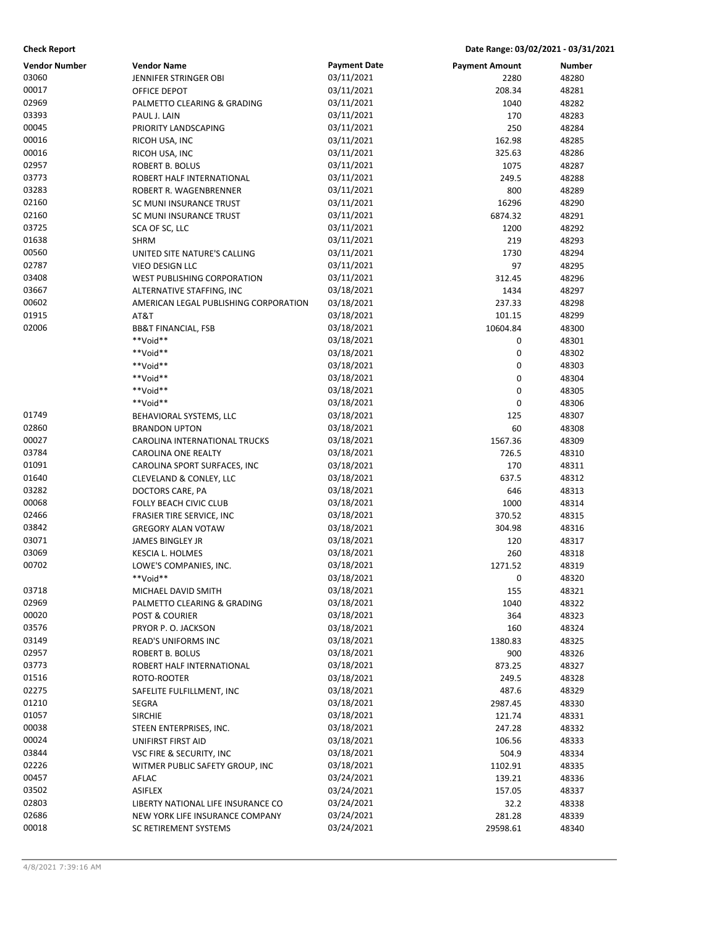| <b>Check Report</b>  |                                       |                     | Date Range: 03/02/2021 - 03/31/2021 |        |
|----------------------|---------------------------------------|---------------------|-------------------------------------|--------|
| <b>Vendor Number</b> | <b>Vendor Name</b>                    | <b>Payment Date</b> | <b>Payment Amount</b>               | Number |
| 03060                | JENNIFER STRINGER OBI                 | 03/11/2021          | 2280                                | 48280  |
| 00017                | OFFICE DEPOT                          | 03/11/2021          | 208.34                              | 48281  |
| 02969                | PALMETTO CLEARING & GRADING           | 03/11/2021          | 1040                                | 48282  |
| 03393                | PAUL J. LAIN                          | 03/11/2021          | 170                                 | 48283  |
| 00045                | PRIORITY LANDSCAPING                  | 03/11/2021          | 250                                 | 48284  |
| 00016                | RICOH USA, INC                        | 03/11/2021          | 162.98                              | 48285  |
| 00016                | RICOH USA, INC                        | 03/11/2021          | 325.63                              | 48286  |
| 02957                | ROBERT B. BOLUS                       | 03/11/2021          | 1075                                | 48287  |
| 03773                | ROBERT HALF INTERNATIONAL             | 03/11/2021          | 249.5                               | 48288  |
| 03283                | ROBERT R. WAGENBRENNER                | 03/11/2021          | 800                                 | 48289  |
| 02160                | SC MUNI INSURANCE TRUST               | 03/11/2021          | 16296                               | 48290  |
| 02160                | SC MUNI INSURANCE TRUST               | 03/11/2021          | 6874.32                             | 48291  |
| 03725                | SCA OF SC, LLC                        | 03/11/2021          | 1200                                | 48292  |
| 01638                | <b>SHRM</b>                           | 03/11/2021          | 219                                 | 48293  |
| 00560                | UNITED SITE NATURE'S CALLING          | 03/11/2021          | 1730                                | 48294  |
| 02787                | VIEO DESIGN LLC                       | 03/11/2021          | 97                                  | 48295  |
| 03408                | WEST PUBLISHING CORPORATION           | 03/11/2021          | 312.45                              | 48296  |
| 03667                | ALTERNATIVE STAFFING, INC             | 03/18/2021          | 1434                                | 48297  |
| 00602                | AMERICAN LEGAL PUBLISHING CORPORATION | 03/18/2021          | 237.33                              | 48298  |
| 01915                | AT&T                                  | 03/18/2021          | 101.15                              | 48299  |
| 02006                | <b>BB&amp;T FINANCIAL, FSB</b>        | 03/18/2021          | 10604.84                            | 48300  |
|                      | **Void**                              | 03/18/2021          | 0                                   | 48301  |
|                      | **Void**                              | 03/18/2021          | 0                                   | 48302  |
|                      | **Void**                              | 03/18/2021          | 0                                   | 48303  |
|                      | **Void**                              | 03/18/2021          | 0                                   | 48304  |
|                      | **Void**                              | 03/18/2021          | 0                                   | 48305  |
|                      | **Void**                              | 03/18/2021          | 0                                   | 48306  |
| 01749                | BEHAVIORAL SYSTEMS, LLC               | 03/18/2021          | 125                                 | 48307  |
| 02860                | <b>BRANDON UPTON</b>                  | 03/18/2021          | 60                                  | 48308  |
| 00027                | CAROLINA INTERNATIONAL TRUCKS         | 03/18/2021          | 1567.36                             | 48309  |
| 03784                | CAROLINA ONE REALTY                   | 03/18/2021          | 726.5                               | 48310  |
| 01091                | CAROLINA SPORT SURFACES, INC          | 03/18/2021          | 170                                 | 48311  |
| 01640                | CLEVELAND & CONLEY, LLC               | 03/18/2021          | 637.5                               | 48312  |
| 03282                | DOCTORS CARE, PA                      | 03/18/2021          | 646                                 | 48313  |
| 00068                | FOLLY BEACH CIVIC CLUB                | 03/18/2021          | 1000                                | 48314  |
| 02466                | FRASIER TIRE SERVICE, INC             | 03/18/2021          | 370.52                              | 48315  |
| 03842                | <b>GREGORY ALAN VOTAW</b>             | 03/18/2021          | 304.98                              | 48316  |
| 03071                | JAMES BINGLEY JR                      | 03/18/2021          | 120                                 | 48317  |
| 03069                | KESCIA L. HOLMES                      | 03/18/2021          | 260                                 | 48318  |
| 00702                | LOWE'S COMPANIES, INC.                | 03/18/2021          | 1271.52                             | 48319  |
|                      | **Void**                              | 03/18/2021          | 0                                   | 48320  |
| 03718                | MICHAEL DAVID SMITH                   | 03/18/2021          | 155                                 | 48321  |
| 02969                | PALMETTO CLEARING & GRADING           | 03/18/2021          | 1040                                | 48322  |
| 00020                | POST & COURIER                        | 03/18/2021          | 364                                 | 48323  |
| 03576                | PRYOR P.O. JACKSON                    | 03/18/2021          | 160                                 | 48324  |
| 03149                | <b>READ'S UNIFORMS INC</b>            | 03/18/2021          | 1380.83                             | 48325  |
| 02957                | ROBERT B. BOLUS                       | 03/18/2021          | 900                                 | 48326  |
| 03773                | ROBERT HALF INTERNATIONAL             | 03/18/2021          | 873.25                              | 48327  |
| 01516                | ROTO-ROOTER                           | 03/18/2021          | 249.5                               | 48328  |
| 02275                | SAFELITE FULFILLMENT, INC             | 03/18/2021          | 487.6                               | 48329  |
| 01210                | SEGRA                                 | 03/18/2021          | 2987.45                             | 48330  |
| 01057                | <b>SIRCHIE</b>                        | 03/18/2021          | 121.74                              | 48331  |
| 00038                | STEEN ENTERPRISES, INC.               | 03/18/2021          | 247.28                              | 48332  |
| 00024                | UNIFIRST FIRST AID                    | 03/18/2021          | 106.56                              | 48333  |
| 03844                | VSC FIRE & SECURITY, INC              | 03/18/2021          | 504.9                               | 48334  |
| 02226                | WITMER PUBLIC SAFETY GROUP, INC       | 03/18/2021          | 1102.91                             | 48335  |
| 00457                | AFLAC                                 | 03/24/2021          | 139.21                              | 48336  |
| 03502                | <b>ASIFLEX</b>                        | 03/24/2021          | 157.05                              | 48337  |
| 02803                | LIBERTY NATIONAL LIFE INSURANCE CO    | 03/24/2021          | 32.2                                | 48338  |
| 02686                | NEW YORK LIFE INSURANCE COMPANY       | 03/24/2021          | 281.28                              | 48339  |
| 00018                | SC RETIREMENT SYSTEMS                 | 03/24/2021          | 29598.61                            | 48340  |